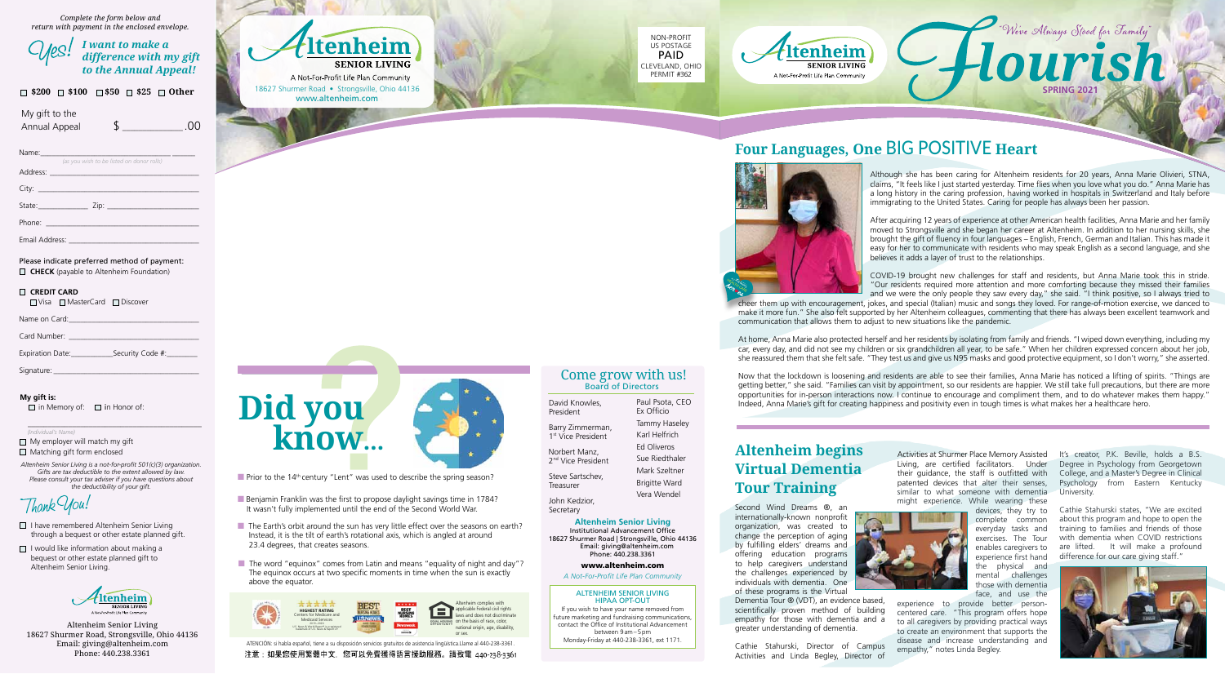### Board of Directors Come grow with us!

**Altenheim Senior Living**

Institutional Advancement Office 18627 Shurmer Road | Strongsville, Ohio 44136 Email: giving@altenheim.com Phone: 440.238.3361

www.altenheim.com

#### *A Not-For-Profit Life Plan Community*

#### ALTENHEIM SENIOR LIVING HIPAA OPT-OUT

Norbert Manz, 2<sup>nd</sup> Vice President Paul Psota, CEO Ex Officio

If you wish to have your name removed from future marketing and fundraising communications, contact the Office of Institutional Advancement between 9 am – 5 pm

Monday-Friday at 440-238-3361, ext 1171.









## Four Languages, One BIG POSITIVE Heart



Barry Zimmerman, 1 st Vice president

David Knowles, president Tammy Haseley

Steve Sartschev,

Treasurer John Kedzior,

Please indicate preferred method of payment: **CHECK** (payable to Altenheim Foundation)

Secretary

Karl Helfrich Ed Oliveros Sue Riedthaler Mark Szeltner Brigitte Ward Vera Wendel

**SPRING 2021**

**My gift is:**  $\Box$  in Memory of:  $\Box$  in Honor of:



ATENCIÓN: si habla español, tiene a su disposición servicios gratuitos de asistencia lingüística.Llame al 440-238-3361. 注意: 如果您使用繁體中文, 您可以免費獲得語言援助服務。請致電 440-238-3361

- $\Box$  My employer will match my gift
- $\Box$  Matching gift form enclosed
- *Altenheim Senior Living is a not-for-profit 501(c)(3) organization. Gifts are tax deductible to the extent allowed by law. Please consult your tax adviser if you have questions about the deductibility of your gift.*

- $\Box$  I have remembered Altenheim Senior Living through a bequest or other estate planned gift.
- $\Box$  I would like information about making a bequest or other estate planned gift to Altenheim Senior Living.



*Complete the form below and return with payment in the enclosed envelope.*

Name:\_\_\_\_\_\_\_\_\_\_\_\_\_\_\_\_\_\_\_\_\_\_\_\_\_\_\_\_\_\_\_\_\_\_ \_\_\_\_\_\_

| (as you wish to be listed on donor rolls) |  |  |  |  |
|-------------------------------------------|--|--|--|--|
| Address:                                  |  |  |  |  |
|                                           |  |  |  |  |
| City:                                     |  |  |  |  |
|                                           |  |  |  |  |

State: \_\_\_\_\_\_\_\_\_\_\_\_\_ Zip: \_\_\_\_\_\_\_\_\_\_\_\_\_\_\_\_\_\_\_\_\_\_\_\_

Phone:

Email Address: \_\_\_\_\_\_\_\_\_\_\_\_\_\_\_\_\_\_\_\_\_\_\_\_\_\_\_\_\_\_\_\_\_\_

- $\blacksquare$  Benjamin Franklin was the first to propose daylight savings time in 1784? It wasn't fully implemented until the end of the Second World War.
- $\blacksquare$  The Earth's orbit around the sun has very little effect over the seasons on earth? Instead, it is the tilt of earth's rotational axis, which is angled at around 23.4 degrees, that creates seasons.
- $\blacksquare$  The word "equinox" comes from Latin and means "equality of night and day"? The equinox occurs at two specific moments in time when the sun is exactly above the equator.

#### **CREDIT CARD**

Name on Card:

| Card Number: |  |
|--------------|--|
|              |  |

| Expiration Date: | Security Code #: |
|------------------|------------------|
|------------------|------------------|

Signature:

#### \_\_\_\_\_\_\_\_\_\_\_\_\_\_\_\_\_\_\_\_\_\_\_\_\_\_\_\_\_\_\_\_\_\_\_\_\_\_\_\_\_\_\_  *(Individual's Name)*

My gift to the

Annual Appeal  $\overline{\phantom{1}}$  \$ .00

| $\mathcal{C\!/\!\ell\mathbb{S}^!$ I want to make a<br>difference with m<br>difference with my gift<br>to the Annual Appeal! |
|-----------------------------------------------------------------------------------------------------------------------------|
|                                                                                                                             |

Altenheim Senior Living 18627 Shurmer Road, Strongsville, Ohio 44136 Email: giving@altenheim.com Phone: 440.238.3361

|  |  | $\Box$ \$200 $\Box$ \$100 $\Box$ \$50 $\Box$ \$25 $\Box$ Other |
|--|--|----------------------------------------------------------------|
|  |  |                                                                |



 $\blacksquare$  Prior to the 14<sup>th</sup> century "Lent" was used to describe the spring season?

It's creator, P.K. Beville, holds a B.S. Degree in Psychology from Georgetown College, and a Master's Degree in Clinical psychology from Eastern Kentucky University.

Although she has been caring for Altenheim residents for 20 years, Anna Marie Olivieri, STNA, claims, "It feels like I just started yesterday. Time flies when you love what you do." Anna Marie has a long history in the caring profession, having worked in hospitals in Switzerland and Italy before immigrating to the United States. Caring for people has always been her passion.

We've Always Stood for Family"

After acquiring 12 years of experience at other American health facilities, Anna Marie and her family moved to Strongsville and she began her career at Altenheim. In addition to her nursing skills, she brought the gift of fluency in four languages – English, French, German and Italian. This has made it easy for her to communicate with residents who may speak English as a second language, and she believes it adds a layer of trust to the relationships.

COVID-19 brought new challenges for staff and residents, but Anna Marie took this in stride. "Our residents required more attention and more comforting because they missed their families and we were the only people they saw every day," she said. "I think positive, so I always tried to

cheer them up with encouragement, jokes, and special (Italian) music and songs they loved. For range-of-motion exercise, we danced to make it more fun." She also felt supported by her Altenheim colleagues, commenting that there has always been excellent teamwork and communication that allows them to adjust to new situations like the pandemic.

At home, Anna Marie also protected herself and her residents by isolating from family and friends. "I wiped down everything, including my car, every day, and did not see my children or six grandchildren all year, to be safe." When her children expressed concern about her job, she reassured them that she felt safe. "They test us and give us N95 masks and good protective equipment, so I don't worry," she asserted.

Now that the lockdown is loosening and residents are able to see their families, Anna Marie has noticed a lifting of spirits. "Things are getting better," she said. "Families can visit by appointment, so our residents are happier. We still take full precautions, but there are more opportunities for in-person interactions now. I continue to encourage and compliment them, and to do whatever makes them happy." Indeed, Anna Marie's gift for creating happiness and positivity even in tough times is what makes her a healthcare hero.

### **Altenheim begins Virtual Dementia Tour Training**

Second Wind Dreams ®, an internationally-known nonprofit organization, was created to change the perception of aging by fulfilling elders' dreams and offering education programs to help caregivers understand the challenges experienced by individuals with dementia. One of these programs is the Virtual Dementia Tour ® (VDT), an evidence based, scientifically proven method of building empathy for those with dementia and a greater understanding of dementia.

Cathie Stahurski, Director of Campus Activities and Linda Begley, Director of Activities at Shurmer place Memory Assisted Living, are certified facilitators. Under their guidance, the staff is outfitted with patented devices that alter their senses, similar to what someone with dementia might experience. While wearing these

devices, they try to complete common everyday tasks and exercises. The Tour enables caregivers to experience first hand the physical and mental challenges those with dementia face, and use the

experience to provide better personcentered care. "This program offers hope to all caregivers by providing practical ways to create an environment that supports the disease and increase understanding and empathy," notes Linda Begley.

Cathie Stahurski states, "We are excited about this program and hope to open the training to families and friends of those with dementia when COVID restrictions are lifted. It will make a profound difference for our care giving staff."